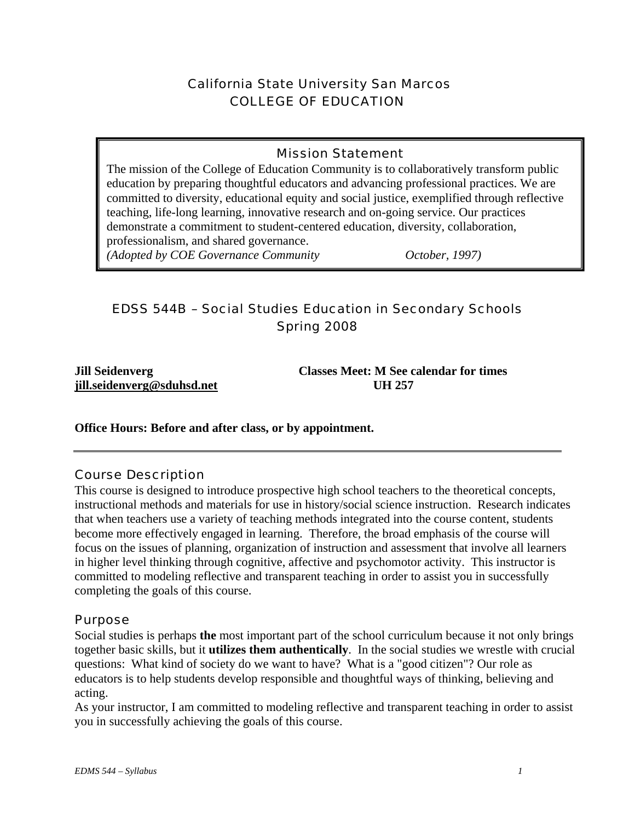# California State University San Marcos COLLEGE OF EDUCATION

## Mission Statement

The mission of the College of Education Community is to collaboratively transform public education by preparing thoughtful educators and advancing professional practices. We are committed to diversity, educational equity and social justice, exemplified through reflective teaching, life-long learning, innovative research and on-going service. Our practices demonstrate a commitment to student-centered education, diversity, collaboration, professionalism, and shared governance. *(Adopted by COE Governance Community October, 1997)* 

# EDSS 544B – Social Studies Education in Secondary Schools Spring 2008

**jill.seidenverg@sduhsd.net UH 257** 

**Jill Seidenverg Classes Meet: M See calendar for times** 

**Office Hours: Before and after class, or by appointment.**

## Course Description

This course is designed to introduce prospective high school teachers to the theoretical concepts, instructional methods and materials for use in history/social science instruction. Research indicates that when teachers use a variety of teaching methods integrated into the course content, students become more effectively engaged in learning. Therefore, the broad emphasis of the course will focus on the issues of planning, organization of instruction and assessment that involve all learners in higher level thinking through cognitive, affective and psychomotor activity. This instructor is committed to modeling reflective and transparent teaching in order to assist you in successfully completing the goals of this course.

#### Purpose

Social studies is perhaps **the** most important part of the school curriculum because it not only brings together basic skills, but it **utilizes them authentically**. In the social studies we wrestle with crucial questions: What kind of society do we want to have? What is a "good citizen"? Our role as educators is to help students develop responsible and thoughtful ways of thinking, believing and acting.

As your instructor, I am committed to modeling reflective and transparent teaching in order to assist you in successfully achieving the goals of this course.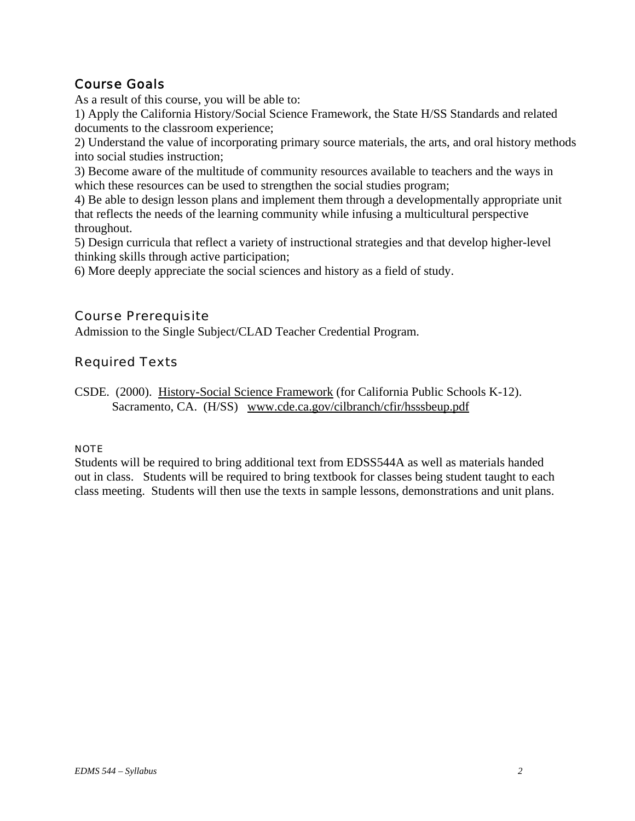# Course Goals

As a result of this course, you will be able to:

1) Apply the California History/Social Science Framework, the State H/SS Standards and related documents to the classroom experience;

2) Understand the value of incorporating primary source materials, the arts, and oral history methods into social studies instruction;

3) Become aware of the multitude of community resources available to teachers and the ways in which these resources can be used to strengthen the social studies program;

4) Be able to design lesson plans and implement them through a developmentally appropriate unit that reflects the needs of the learning community while infusing a multicultural perspective throughout.

5) Design curricula that reflect a variety of instructional strategies and that develop higher-level thinking skills through active participation;

6) More deeply appreciate the social sciences and history as a field of study.

## Course Prerequisite

Admission to the Single Subject/CLAD Teacher Credential Program.

# Required Texts

CSDE. (2000). History-Social Science Framework (for California Public Schools K-12). Sacramento, CA. (H/SS) www.cde.ca.gov/cilbranch/cfir/hsssbeup.pdf

#### NOTE

Students will be required to bring additional text from EDSS544A as well as materials handed out in class. Students will be required to bring textbook for classes being student taught to each class meeting. Students will then use the texts in sample lessons, demonstrations and unit plans.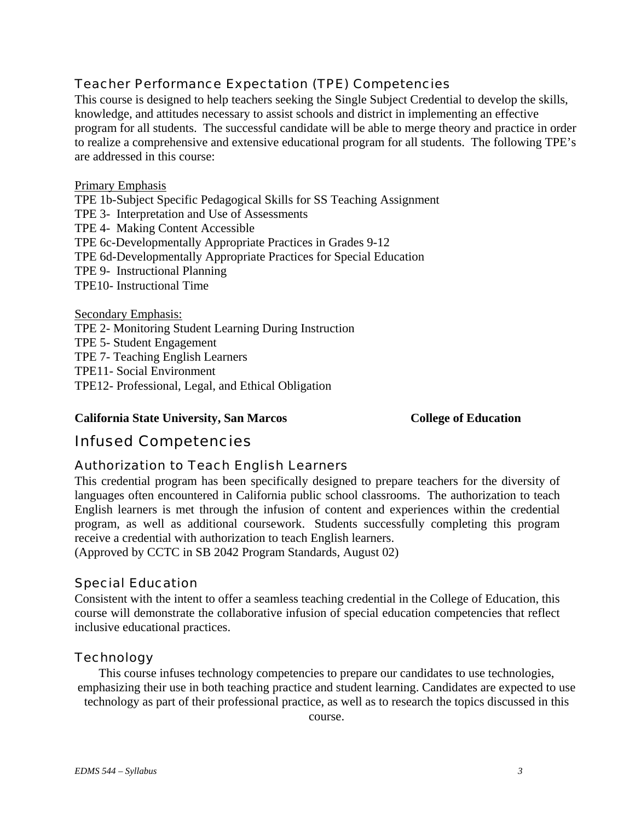## Teacher Performance Expectation (TPE) Competencies

This course is designed to help teachers seeking the Single Subject Credential to develop the skills, knowledge, and attitudes necessary to assist schools and district in implementing an effective program for all students. The successful candidate will be able to merge theory and practice in order to realize a comprehensive and extensive educational program for all students. The following TPE's are addressed in this course:

#### Primary Emphasis

TPE 1b-Subject Specific Pedagogical Skills for SS Teaching Assignment TPE 3- Interpretation and Use of Assessments TPE 4- Making Content Accessible TPE 6c-Developmentally Appropriate Practices in Grades 9-12 TPE 6d-Developmentally Appropriate Practices for Special Education TPE 9- Instructional Planning TPE10- Instructional Time

Secondary Emphasis:

TPE 2- Monitoring Student Learning During Instruction

TPE 5- Student Engagement

TPE 7- Teaching English Learners

TPE11- Social Environment

TPE12- Professional, Legal, and Ethical Obligation

#### **California State University, San Marcos College of Education**

# Infused Competencies

## Authorization to Teach English Learners

This credential program has been specifically designed to prepare teachers for the diversity of languages often encountered in California public school classrooms. The authorization to teach English learners is met through the infusion of content and experiences within the credential program, as well as additional coursework. Students successfully completing this program receive a credential with authorization to teach English learners.

(Approved by CCTC in SB 2042 Program Standards, August 02)

## Special Education

Consistent with the intent to offer a seamless teaching credential in the College of Education, this course will demonstrate the collaborative infusion of special education competencies that reflect inclusive educational practices.

## **Technology**

This course infuses technology competencies to prepare our candidates to use technologies, emphasizing their use in both teaching practice and student learning. Candidates are expected to use technology as part of their professional practice, as well as to research the topics discussed in this

course.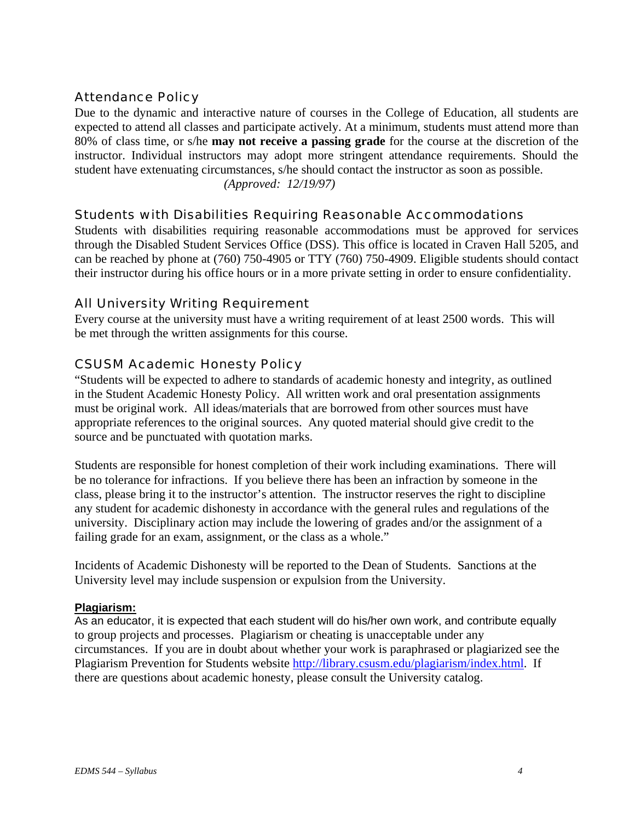## Attendance Policy

Due to the dynamic and interactive nature of courses in the College of Education, all students are expected to attend all classes and participate actively. At a minimum, students must attend more than 80% of class time, or s/he **may not receive a passing grade** for the course at the discretion of the instructor. Individual instructors may adopt more stringent attendance requirements. Should the student have extenuating circumstances, s/he should contact the instructor as soon as possible. *(Approved: 12/19/97)* 

### Students with Disabilities Requiring Reasonable Accommodations

Students with disabilities requiring reasonable accommodations must be approved for services through the Disabled Student Services Office (DSS). This office is located in Craven Hall 5205, and can be reached by phone at (760) 750-4905 or TTY (760) 750-4909. Eligible students should contact their instructor during his office hours or in a more private setting in order to ensure confidentiality.

### All University Writing Requirement

Every course at the university must have a writing requirement of at least 2500 words. This will be met through the written assignments for this course.

### CSUSM Academic Honesty Policy

"Students will be expected to adhere to standards of academic honesty and integrity, as outlined in the Student Academic Honesty Policy. All written work and oral presentation assignments must be original work. All ideas/materials that are borrowed from other sources must have appropriate references to the original sources. Any quoted material should give credit to the source and be punctuated with quotation marks.

Students are responsible for honest completion of their work including examinations. There will be no tolerance for infractions. If you believe there has been an infraction by someone in the class, please bring it to the instructor's attention. The instructor reserves the right to discipline any student for academic dishonesty in accordance with the general rules and regulations of the university. Disciplinary action may include the lowering of grades and/or the assignment of a failing grade for an exam, assignment, or the class as a whole."

Incidents of Academic Dishonesty will be reported to the Dean of Students. Sanctions at the University level may include suspension or expulsion from the University.

#### **Plagiarism:**

As an educator, it is expected that each student will do his/her own work, and contribute equally to group projects and processes. Plagiarism or cheating is unacceptable under any circumstances. If you are in doubt about whether your work is paraphrased or plagiarized see the Plagiarism Prevention for Students website http://library.csusm.edu/plagiarism/index.html. If there are questions about academic honesty, please consult the University catalog.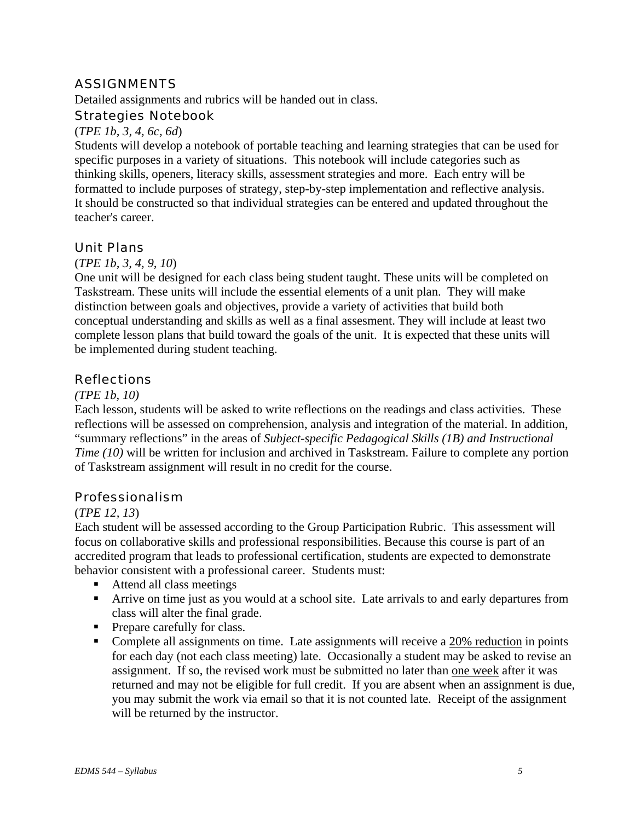## ASSIGNMENTS

Detailed assignments and rubrics will be handed out in class.

#### Strategies Notebook

#### (*TPE 1b, 3, 4, 6c, 6d*)

Students will develop a notebook of portable teaching and learning strategies that can be used for specific purposes in a variety of situations. This notebook will include categories such as thinking skills, openers, literacy skills, assessment strategies and more. Each entry will be formatted to include purposes of strategy, step-by-step implementation and reflective analysis. It should be constructed so that individual strategies can be entered and updated throughout the teacher's career.

### Unit Plans

#### (*TPE 1b, 3, 4, 9, 10*)

One unit will be designed for each class being student taught. These units will be completed on Taskstream. These units will include the essential elements of a unit plan. They will make distinction between goals and objectives, provide a variety of activities that build both conceptual understanding and skills as well as a final assesment. They will include at least two complete lesson plans that build toward the goals of the unit. It is expected that these units will be implemented during student teaching.

### **Reflections**

#### *(TPE 1b, 10)*

Each lesson, students will be asked to write reflections on the readings and class activities. These reflections will be assessed on comprehension, analysis and integration of the material. In addition, "summary reflections" in the areas of *Subject-specific Pedagogical Skills (1B) and Instructional Time (10)* will be written for inclusion and archived in Taskstream. Failure to complete any portion of Taskstream assignment will result in no credit for the course.

#### Professionalism

#### (*TPE 12, 13*)

Each student will be assessed according to the Group Participation Rubric. This assessment will focus on collaborative skills and professional responsibilities. Because this course is part of an accredited program that leads to professional certification, students are expected to demonstrate behavior consistent with a professional career. Students must:

- Attend all class meetings
- Arrive on time just as you would at a school site. Late arrivals to and early departures from class will alter the final grade.
- Prepare carefully for class.
- Complete all assignments on time. Late assignments will receive a 20% reduction in points for each day (not each class meeting) late. Occasionally a student may be asked to revise an assignment. If so, the revised work must be submitted no later than one week after it was returned and may not be eligible for full credit. If you are absent when an assignment is due, you may submit the work via email so that it is not counted late. Receipt of the assignment will be returned by the instructor.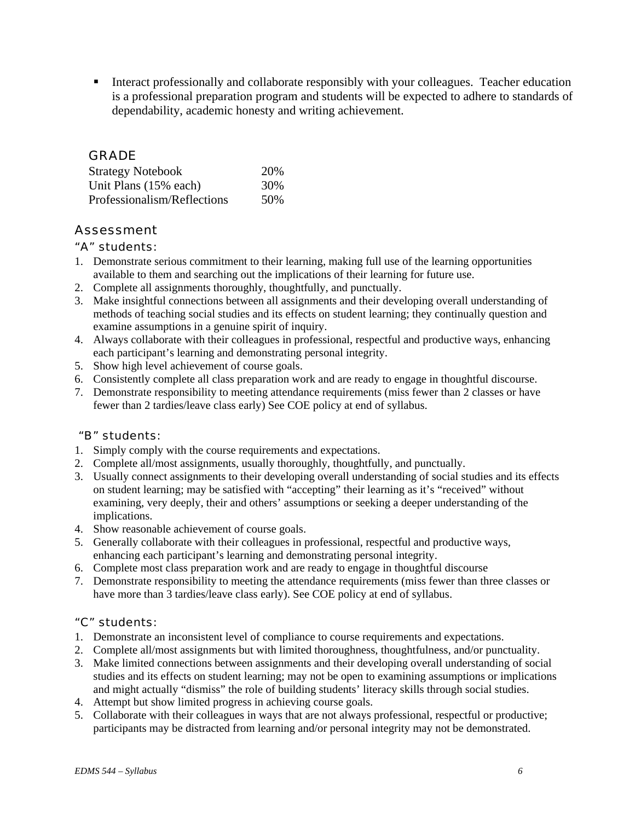Interact professionally and collaborate responsibly with your colleagues. Teacher education is a professional preparation program and students will be expected to adhere to standards of dependability, academic honesty and writing achievement.

### GRADE

| <b>Strategy Notebook</b>    | 20% |
|-----------------------------|-----|
| Unit Plans (15% each)       | 30% |
| Professionalism/Reflections | 50% |

## Assessment

#### "A" students:

- 1. Demonstrate serious commitment to their learning, making full use of the learning opportunities available to them and searching out the implications of their learning for future use.
- 2. Complete all assignments thoroughly, thoughtfully, and punctually.
- 3. Make insightful connections between all assignments and their developing overall understanding of methods of teaching social studies and its effects on student learning; they continually question and examine assumptions in a genuine spirit of inquiry.
- 4. Always collaborate with their colleagues in professional, respectful and productive ways, enhancing each participant's learning and demonstrating personal integrity.
- 5. Show high level achievement of course goals.
- 6. Consistently complete all class preparation work and are ready to engage in thoughtful discourse.
- 7. Demonstrate responsibility to meeting attendance requirements (miss fewer than 2 classes or have fewer than 2 tardies/leave class early) See COE policy at end of syllabus.

#### "B" students:

- 1. Simply comply with the course requirements and expectations.
- 2. Complete all/most assignments, usually thoroughly, thoughtfully, and punctually.
- 3. Usually connect assignments to their developing overall understanding of social studies and its effects on student learning; may be satisfied with "accepting" their learning as it's "received" without examining, very deeply, their and others' assumptions or seeking a deeper understanding of the implications.
- 4. Show reasonable achievement of course goals.
- 5. Generally collaborate with their colleagues in professional, respectful and productive ways, enhancing each participant's learning and demonstrating personal integrity.
- 6. Complete most class preparation work and are ready to engage in thoughtful discourse
- 7. Demonstrate responsibility to meeting the attendance requirements (miss fewer than three classes or have more than 3 tardies/leave class early). See COE policy at end of syllabus.

#### "C" students:

- 1. Demonstrate an inconsistent level of compliance to course requirements and expectations.
- 2. Complete all/most assignments but with limited thoroughness, thoughtfulness, and/or punctuality.
- 3. Make limited connections between assignments and their developing overall understanding of social studies and its effects on student learning; may not be open to examining assumptions or implications and might actually "dismiss" the role of building students' literacy skills through social studies.
- 4. Attempt but show limited progress in achieving course goals.
- 5. Collaborate with their colleagues in ways that are not always professional, respectful or productive; participants may be distracted from learning and/or personal integrity may not be demonstrated.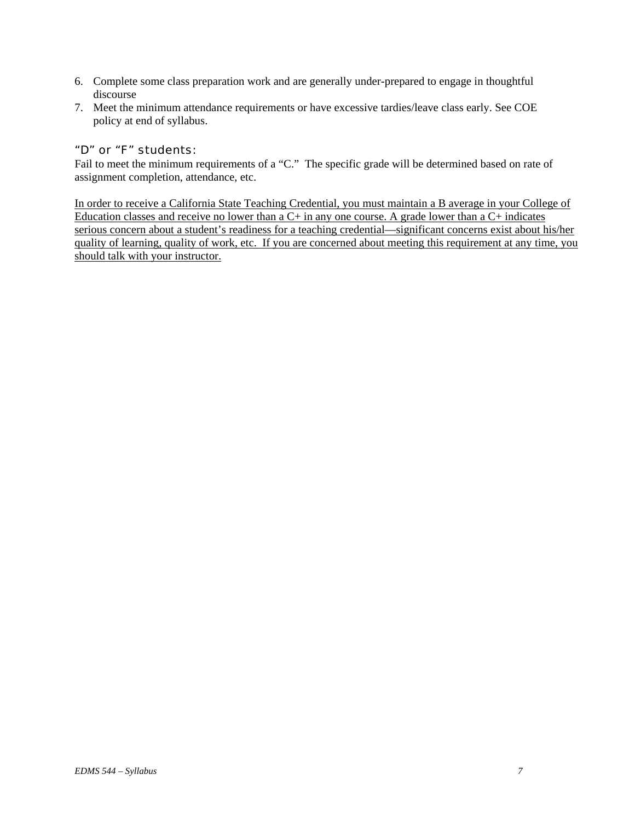- 6. Complete some class preparation work and are generally under-prepared to engage in thoughtful discourse
- 7. Meet the minimum attendance requirements or have excessive tardies/leave class early. See COE policy at end of syllabus.

#### "D" or "F" students:

Fail to meet the minimum requirements of a "C." The specific grade will be determined based on rate of assignment completion, attendance, etc.

In order to receive a California State Teaching Credential, you must maintain a B average in your College of Education classes and receive no lower than a  $C+$  in any one course. A grade lower than a  $C+$  indicates serious concern about a student's readiness for a teaching credential—significant concerns exist about his/her quality of learning, quality of work, etc. If you are concerned about meeting this requirement at any time, you should talk with your instructor.